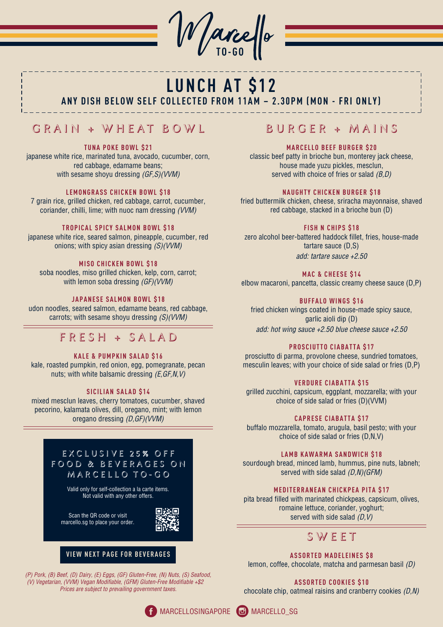

# **LUNCH AT \$12**

**ANY DISH BELOW SELF COLLECTED FROM 11AM – 2.30PM (MON - FRI ONLY)**

# GRAIN + WHEAT BOWL

#### **TUNA POKE BOWL \$21**

japanese white rice, marinated tuna, avocado, cucumber, corn, red cabbage, edamame beans; with sesame shoyu dressing *(GF,S)(VVM)*

#### **LEMONGRASS CHICKEN BOWL \$18**

7 grain rice, grilled chicken, red cabbage, carrot, cucumber, coriander, chilli, lime; with nuoc nam dressing *(VVM)*

#### **TROPICAL SPICY SALMON BOWL \$18**

japanese white rice, seared salmon, pineapple, cucumber, red onions; with spicy asian dressing *(S)(VVM)*

#### **MISO CHICKEN BOWL \$18**

soba noodles, miso grilled chicken, kelp, corn, carrot; with lemon soba dressing *(GF)(VVM)*

#### **JAPANESE SALMON BOWL \$18**

udon noodles, seared salmon, edamame beans, red cabbage, carrots; with sesame shoyu dressing *(S)(VVM)*

## FRESH + SALAD

#### **KALE & PUMPKIN SALAD \$16**

kale, roasted pumpkin, red onion, egg, pomegranate, pecan nuts; with white balsamic dressing *(E,GF,N,V)*

#### **SICILIAN SALAD \$14**

mixed mesclun leaves, cherry tomatoes, cucumber, shaved pecorino, kalamata olives, dill, oregano, mint; with lemon oregano dressing *(D,GF)(VVM)*

#### EXCLUSIVE 25% OFF FOOD & BEVERAGES ON MARCELLO TO-GO

Valid only for self-collection a la carte items. Not valid with any other offers.

Scan the QR code or visit marcello.sg to place your order.



#### **VIEW NEXT PAGE FOR BEVERAGES**

*(P) Pork, (B) Beef, (D) Dairy, (E) Eggs, (GF) Gluten-Free, (N) Nuts, (S) Seafood, (V) Vegetarian, (VVM) Vegan Modifiable, (GFM) Gluten-Free Modifiable +\$2 Prices are subject to prevailing government taxes.*

## BURGER + MAINS

#### **MARCELLO BEEF BURGER \$20**

classic beef patty in brioche bun, monterey jack cheese, house made yuzu pickles, mesclun, served with choice of fries or salad *(B,D)*

#### **NAUGHTY CHICKEN BURGER \$18**

fried buttermilk chicken, cheese, sriracha mayonnaise, shaved red cabbage, stacked in a brioche bun (D)

#### **FISH N CHIPS \$18**

zero alcohol beer-battered haddock fillet, fries, house-made tartare sauce (D,S) *add: tartare sauce +2.50*

#### **MAC & CHEESE \$14**

elbow macaroni, pancetta, classic creamy cheese sauce (D,P)

#### **BUFFALO WINGS \$16**

fried chicken wings coated in house-made spicy sauce, garlic aioli dip (D) *add: hot wing sauce +2.50 blue cheese sauce +2.50*

#### **PROSCIUTTO CIABATTA \$17**

prosciutto di parma, provolone cheese, sundried tomatoes, mesculin leaves; with your choice of side salad or fries (D,P)

#### **VERDURE CIABATTA \$15**

grilled zucchini, capsicum, eggplant, mozzarella; with your choice of side salad or fries (D)(VVM)

#### **CAPRESE CIABATTA \$17**

buffalo mozzarella, tomato, arugula, basil pesto; with your choice of side salad or fries (D,N,V)

#### **LAMB KAWARMA SANDWICH \$18**

sourdough bread, minced lamb, hummus, pine nuts, labneh; served with side salad *(D,N)(GFM)*

#### **MEDITERRANEAN CHICKPEA PITA \$17**

pita bread filled with marinated chickpeas, capsicum, olives, romaine lettuce, coriander, yoghurt; served with side salad *(D,V)*

## SWEET

**ASSORTED MADELEINES \$8**

lemon, coffee, chocolate, matcha and parmesan basil *(D)*

#### **ASSORTED COOKIES \$10**

chocolate chip, oatmeal raisins and cranberry cookies *(D,N)*